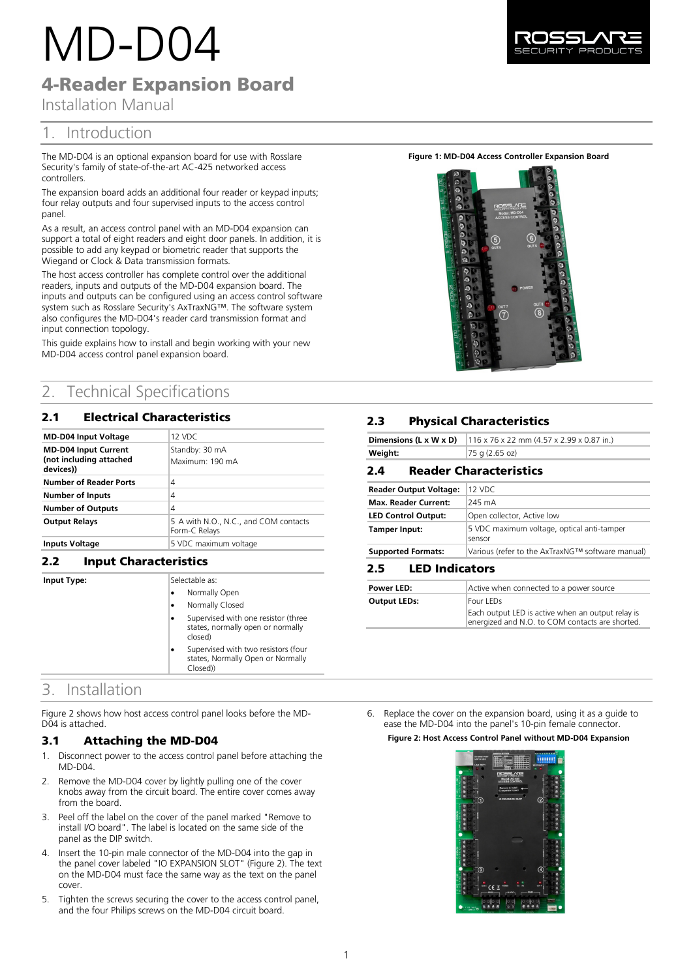# MD-D04

4-Reader Expansion Board

Installation Manual

# 1. Introduction

The MD-D04 is an optional expansion board for use with Rosslare Security's family of state-of-the-art AC-425 networked access controllers.

The expansion board adds an additional four reader or keypad inputs; four relay outputs and four supervised inputs to the access control panel

As a result, an access control panel with an MD-D04 expansion can support a total of eight readers and eight door panels. In addition, it is possible to add any keypad or biometric reader that supports the Wiegand or Clock & Data transmission formats.

The host access controller has complete control over the additional readers, inputs and outputs of the MD-D04 expansion board. The inputs and outputs can be configured using an access control software system such as Rosslare Security's AxTraxNG™. The software system also configures the MD-D04's reader card transmission format and input connection topology.

This guide explains how to install and begin working with your new MD-D04 access control panel expansion board.

# 2. Technical Specifications

## 2.1 Electrical Characteristics

| <b>MD-D04 Input Voltage</b>                                         | 12 VDC                                                 |
|---------------------------------------------------------------------|--------------------------------------------------------|
| <b>MD-D04 Input Current</b><br>(not including attached<br>devices)) | Standby: 30 mA<br>Maximum: 190 mA                      |
| <b>Number of Reader Ports</b>                                       | 4                                                      |
| <b>Number of Inputs</b>                                             | 4                                                      |
| <b>Number of Outputs</b>                                            | 4                                                      |
| <b>Output Relays</b>                                                | 5 A with N.O., N.C., and COM contacts<br>Form-C Relays |
| <b>Inputs Voltage</b>                                               | 5 VDC maximum voltage                                  |

## **2.2 Input Characteristics**

**Input Type:** 

| - - -                                                                                |  |  |  |
|--------------------------------------------------------------------------------------|--|--|--|
| Selectable as:                                                                       |  |  |  |
| Normally Open                                                                        |  |  |  |
| Normally Closed                                                                      |  |  |  |
| Supervised with one resistor (three<br>states, normally open or normally<br>closed)  |  |  |  |
| Supervised with two resistors (four<br>states, Normally Open or Normally<br>Closed)) |  |  |  |

# 3. Installation

[Figure 2](#page-0-0) shows how host access control panel looks before the MD-D04 is attached.

## 3.1 Attaching the MD-D04

- 1. Disconnect power to the access control panel before attaching the MD-D04.
- 2. Remove the MD-D04 cover by lightly pulling one of the cover knobs away from the circuit board. The entire cover comes away from the board.
- 3. Peel off the label on the cover of the panel marked "Remove to install I/O board". The label is located on the same side of the panel as the DIP switch.
- 4. Insert the 10-pin male connector of the MD-D04 into the gap in the panel cover labeled "IO EXPANSION SLOT" [\(Figure 2\).](#page-0-0) The text on the MD-D04 must face the same way as the text on the panel cover.
- 5. Tighten the screws securing the cover to the access control panel, and the four Philips screws on the MD-D04 circuit board.

**Figure 1: MD-D04 Access Controller Expansion Board**



## **2.3** Physical Characteristics

| Dimensions (L x W x D)                  | 116 x 76 x 22 mm (4.57 x 2.99 x 0.87 in.) |  |  |  |
|-----------------------------------------|-------------------------------------------|--|--|--|
| Weight:                                 | 75 g (2.65 oz)                            |  |  |  |
| <b>Reader Characteristics</b><br>2.4    |                                           |  |  |  |
| <b>Reader Output Voltage:</b><br>12 VDC |                                           |  |  |  |
| <b>Max. Reader Current:</b>             | 245 mA                                    |  |  |  |

| <b>Max. Reader Current:</b> | 245 mA                                               |
|-----------------------------|------------------------------------------------------|
| <b>LED Control Output:</b>  | Open collector, Active low                           |
| Tamper Input:               | 5 VDC maximum voltage, optical anti-tamper<br>sensor |
| <b>Supported Formats:</b>   | Various (refer to the AxTraxNG™ software manual)     |
|                             |                                                      |

#### 2.5 **LED Indicators**

| Power LED:          | Active when connected to a power source           |
|---------------------|---------------------------------------------------|
| <b>Output LEDs:</b> | Four LEDs                                         |
|                     | Each output LED is active when an output relay is |
|                     | energized and N.O. to COM contacts are shorted.   |

<span id="page-0-0"></span>6. Replace the cover on the expansion board, using it as a guide to ease the MD-D04 into the panel's 10-pin female connector. **Figure 2: Host Access Control Panel without MD-D04 Expansion**

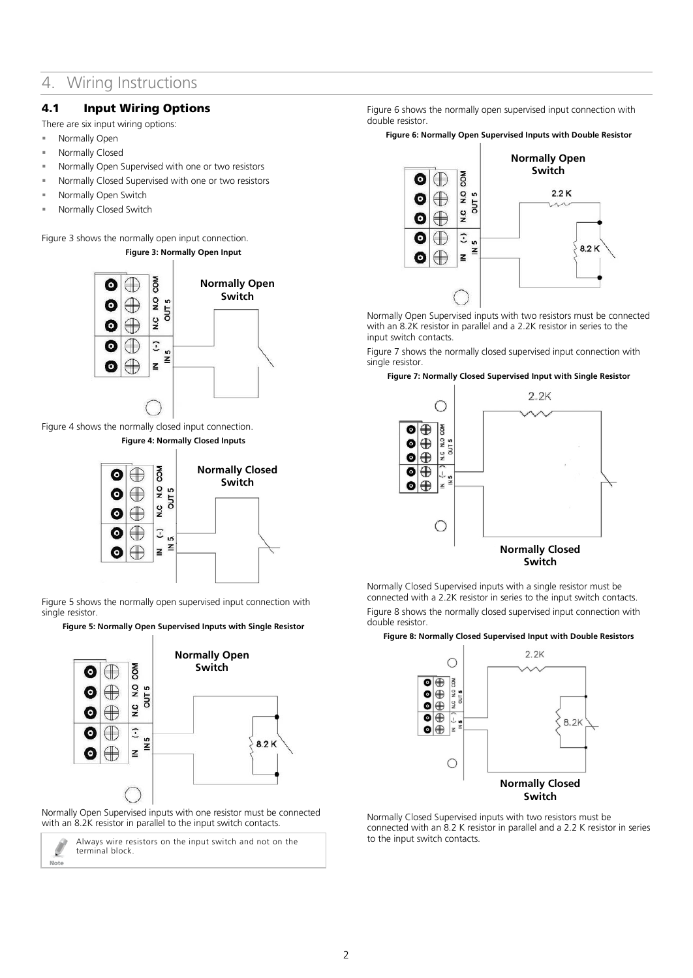# 4. Wiring Instructions

## 4.1 Input Wiring Options

There are six input wiring options:

- **Normally Open**
- Normally Closed
- Normally Open Supervised with one or two resistors
- Normally Closed Supervised with one or two resistors
- Normally Open Switch
- Normally Closed Switch

<span id="page-1-0"></span>[Figure 3](#page-1-0) shows the normally open input connection.

**Figure 3: Normally Open Input**



<span id="page-1-1"></span>[Figure 4](#page-1-1) shows the normally closed input connection. **Figure 4: Normally Closed Inputs**



[Figure 5](#page-1-2) shows the normally open supervised input connection with single resistor.

<span id="page-1-2"></span>**Figure 5: Normally Open Supervised Inputs with Single Resistor**



Normally Open Supervised inputs with one resistor must be connected with an 8.2K resistor in parallel to the input switch contacts.

Always wire resistors on the input switch and not on the Ø terminal block. Note

[Figure 6](#page-1-3) shows the normally open supervised input connection with double resistor.

<span id="page-1-3"></span>**Figure 6: Normally Open Supervised Inputs with Double Resistor**



Normally Open Supervised inputs with two resistors must be connected with an 8.2K resistor in parallel and a 2.2K resistor in series to the input switch contacts.

[Figure 7](#page-1-4) shows the normally closed supervised input connection with single resistor.

#### <span id="page-1-4"></span>**Figure 7: Normally Closed Supervised Input with Single Resistor**



Normally Closed Supervised inputs with a single resistor must be connected with a 2.2K resistor in series to the input switch contacts. [Figure 8](#page-1-5) shows the normally closed supervised input connection with double resistor.

#### <span id="page-1-5"></span>**Figure 8: Normally Closed Supervised Input with Double Resistors**



Normally Closed Supervised inputs with two resistors must be connected with an 8.2 K resistor in parallel and a 2.2 K resistor in series to the input switch contacts.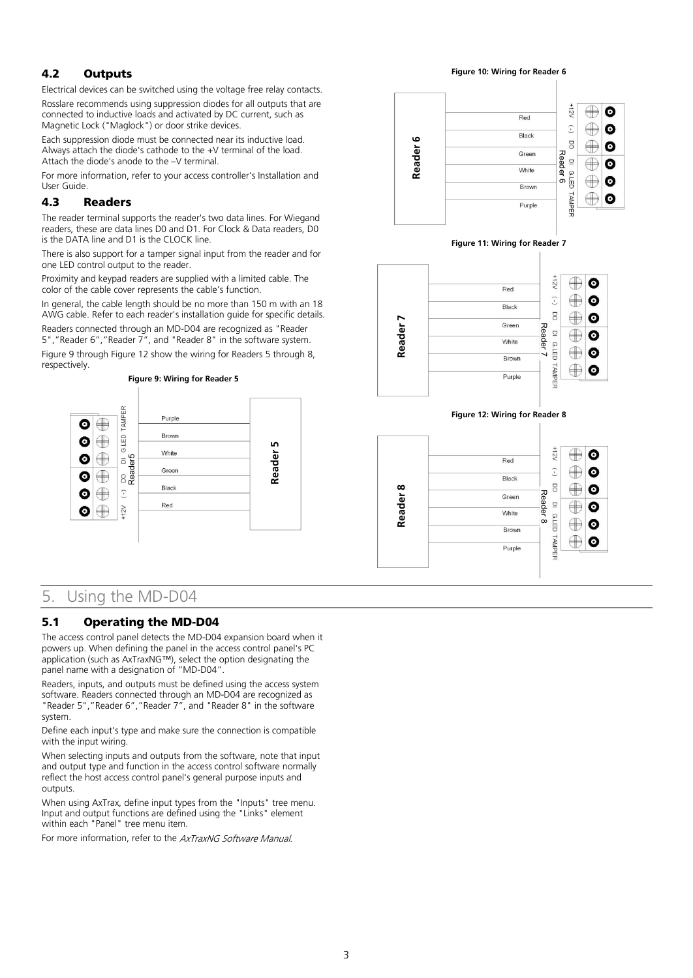## 4.2 Outputs

Electrical devices can be switched using the voltage free relay contacts.

Rosslare recommends using suppression diodes for all outputs that are connected to inductive loads and activated by DC current, such as Magnetic Lock ("Maglock") or door strike devices.

Each suppression diode must be connected near its inductive load. Always attach the diode's cathode to the +V terminal of the load. Attach the diode's anode to the –V terminal.

For more information, refer to your access controller's Installation and User Guide.

#### 4.3 Readers

The reader terminal supports the reader's two data lines. For Wiegand readers, these are data lines D0 and D1. For Clock & Data readers, D0 is the DATA line and D1 is the CLOCK line.

There is also support for a tamper signal input from the reader and for one LED control output to the reader.

Proximity and keypad readers are supplied with a limited cable. The color of the cable cover represents the cable's function.

In general, the cable length should be no more than 150 m with an 18 AWG cable. Refer to each reader's installation guide for specific details.

Readers connected through an MD-D04 are recognized as "Reader 5","Reader 6","Reader 7", and "Reader 8" in the software system.

[Figure 9](#page-2-0) throug[h Figure 12](#page-2-1) show the wiring for Readers 5 through 8, respectively.

<span id="page-2-1"></span><span id="page-2-0"></span>

# 5. Using the MD-D04

## 5.1 Operating the MD-D04

The access control panel detects the MD-D04 expansion board when it powers up. When defining the panel in the access control panel's PC application (such as AxTraxNG™), select the option designating the panel name with a designation of "MD-D04".

Readers, inputs, and outputs must be defined using the access system software. Readers connected through an MD-D04 are recognized as "Reader 5","Reader 6","Reader 7", and "Reader 8" in the software system.

Define each input's type and make sure the connection is compatible with the input wiring.

When selecting inputs and outputs from the software, note that input and output type and function in the access control software normally reflect the host access control panel's general purpose inputs and outputs.

When using AxTrax, define input types from the "Inputs" tree menu. Input and output functions are defined using the "Links" element within each "Panel" tree menu item.

For more information, refer to the AxTraxNG Software Manual.

**Figure 10: Wiring for Reader 6**